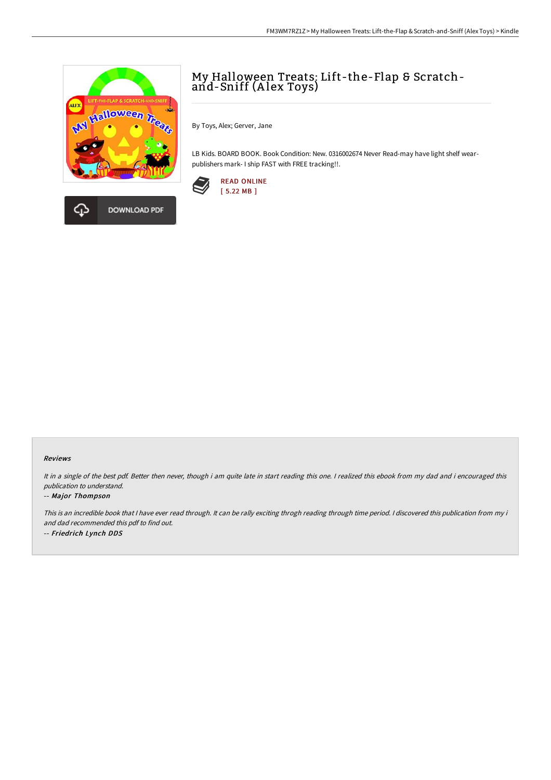

# My Halloween Treats: Lift-the-Flap & Scratchand-Sniff (Alex Toys)

By Toys, Alex; Gerver, Jane

LB Kids. BOARD BOOK. Book Condition: New. 0316002674 Never Read-may have light shelf wearpublishers mark- I ship FAST with FREE tracking!!.



#### Reviews

It in <sup>a</sup> single of the best pdf. Better then never, though i am quite late in start reading this one. <sup>I</sup> realized this ebook from my dad and i encouraged this publication to understand.

#### -- Major Thompson

This is an incredible book that <sup>I</sup> have ever read through. It can be rally exciting throgh reading through time period. <sup>I</sup> discovered this publication from my i and dad recommended this pdf to find out. -- Friedrich Lynch DDS